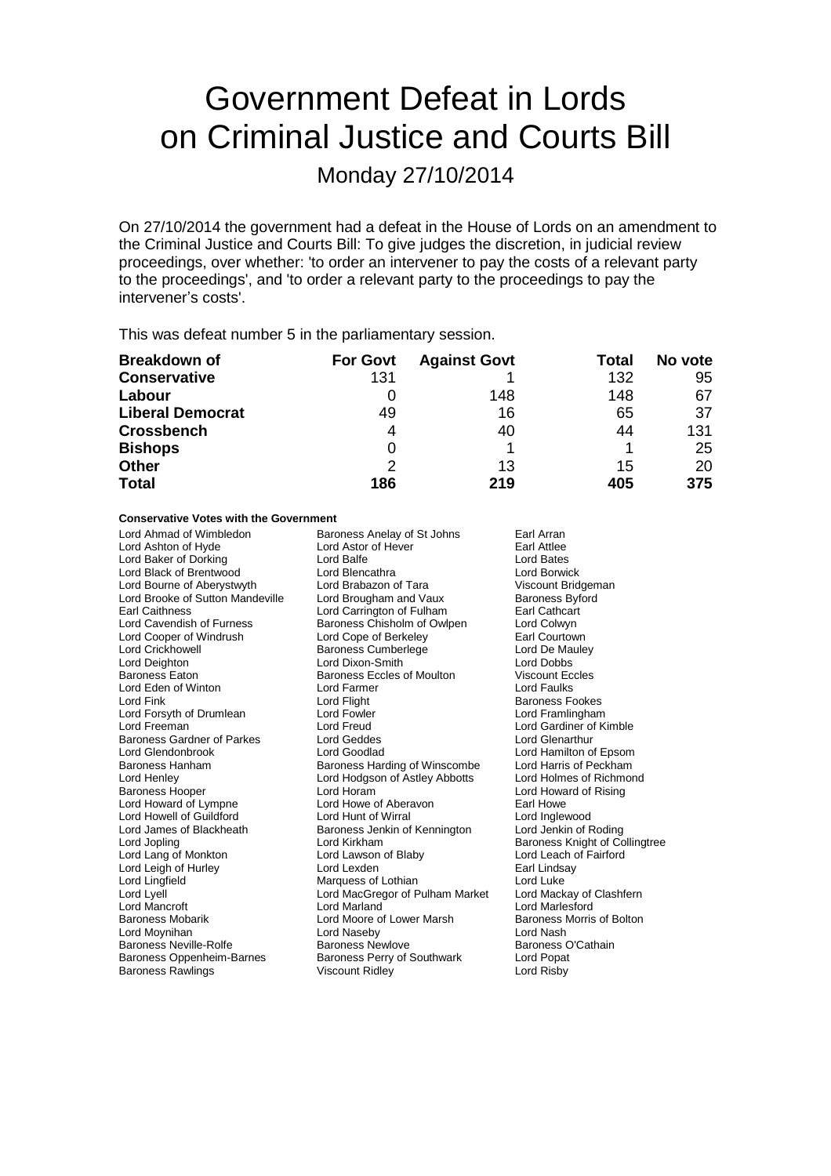# Government Defeat in Lords on Criminal Justice and Courts Bill

Monday 27/10/2014

On 27/10/2014 the government had a defeat in the House of Lords on an amendment to the Criminal Justice and Courts Bill: To give judges the discretion, in judicial review proceedings, over whether: 'to order an intervener to pay the costs of a relevant party to the proceedings', and 'to order a relevant party to the proceedings to pay the intervener's costs'.

This was defeat number 5 in the parliamentary session.

| <b>Breakdown of</b>     | <b>For Govt</b> | <b>Against Govt</b> | <b>Total</b> | No vote |
|-------------------------|-----------------|---------------------|--------------|---------|
| <b>Conservative</b>     | 131             |                     | 132          | 95      |
| Labour                  |                 | 148                 | 148          | 67      |
| <b>Liberal Democrat</b> | 49              | 16                  | 65           | 37      |
| <b>Crossbench</b>       | 4               | 40                  | 44           | 131     |
| <b>Bishops</b>          | 0               |                     |              | 25      |
| Other                   | 2               | 13                  | 15           | 20      |
| <b>Total</b>            | 186             | 219                 | 405          | 375     |

### **Conservative Votes with the Government**

Lord Ahmad of Wimbledon Baroness Anelay of St Johns Earl Arran<br>
Lord Ashton of Hyde Lord Astor of Hever Earl Attlee Lord Ashton of Hyde **Lord Astor of Hever Earl Attlee**<br>
Lord Baker of Dorking<br>
Lord Balfe **Early Actual** Lord Baker of Dorking **Lord Balfe** Lord Balfe Lord Bates<br>
Lord Back of Brentwood Lord Blencathra **Lord Balfe** Lord Borwick Lord Black of Brentwood **Lord Blencathra** Lord Borwick<br>
Lord Bourne of Aberystwyth Lord Brabazon of Tara **Lord Borwick** Viscount Bridgeman Lord Bourne of Aberystwyth Lord Brooke of Sutton Mandeville Lord Brougham and Vaux Baroness Byford<br>
Earl Caithness Carrington of Fulham Earl Cathcart Earl Caithness<br>
Lord Cavendish of Furness<br>
Baroness Chisholm of Owlpen<br>
Lord Colwyn Lord Cavendish of Furness Baroness Chisholm of Owlpen Lord Colwyn Lord Cooper of Windrush Lord Cope of Berkeley **Earl Courtown**<br>
Lord Crickhowell **Consult Band Bandes Cumberlege** Lord De Mauley Lord Crickhowell **Carry Communist Communist Communist Communist Communist Communist Communist Communist Communist Communist Communist Communist Communist Communist Communist Communist Communist Communist Communist Communis** Baroness Eaton **Baroness Eccles of Moulton** Viscount Eccles<br> **Baroness Eccles of Moulton** Parmer<br> **Baroness Eccles of Moulton** Parmer<br> **Baroness Eccles of Moulton** Parmer Lord Eden of Winton **Lord Exercise Contract Cord Faulus**<br>
Lord Fink Lord Flight **Cord Flight** Cord Flight **Cord Fight** Baroness Formulation Lord Forsyth of Drumlean Lord Fowler Lord Freeman<br>
Lord Freeman Lord Creud Baroness Gardner of Parkes Lord Geddes<br>
Lord Glendonbrook Lord Goodlad Lord Glendonbrook Lord Goodlad Lord Hamilton of Epsom Lord Henley Lord Hodgson of Astley Abbotts Lord Holmes of Richmond<br>Baroness Hooper Lord Horam Lord Horam Lord Howard of Rising Lord Howard of Lympne Lord Howe of Aberavon Farl Howe<br>
Lord Howell of Guildford Lord Hunt of Wirral Lord Howe Lord Inglewood Lord Howell of Guildford Lord Hunt of Wirral Lord Inglewood Lord James of Blackheath Baroness Jenkin of Kennington<br>
Lord Jopling Cord Kirkham Lord Jopling Lord Kirkham Communication of Baroness Knight of Collingtree<br>
Lord Lawson of Blaby Lord Lord Leach of Fairford Lord Leigh of Hurley **Lord Lexden** Lord Lexden **Earl Linds**<br>
Lord Lingfield **Consumers Consumers Consumers Consumers Consumers Consumers Consumers Lord Luke** Lord Lingfield Marquess of Lothian Lord Luke<br>
Lord Lyell Lord MacGregor of Pulham Market Lord Mackay of Clashfern Lord Lyell Lord MacGregor of Pulham Market<br>
Lord Mancroft Lord Marland Baroness Mobarik **Example 2** Lord Moore of Lower Marsh Baroness Morris of Bolton<br>
Lord Movinihan **Baroness Morris Corporation**<br>
Lord Maseby **Baroness Morris Corporation** Lord Moynihan Lord Naseby Lord Nash Baroness Neville-Rolfe **Baroness Newlove** Baroness C<br>Baroness Oppenheim-Barnes Baroness Perry of Southwark Lord Popat

Lord Dixon-Smith Lord Flight **Baroness Fookes**<br>
Lord Fowler **Baroness**<br>
Lord Framlingham Lord Freud **Lord Gardiner of Kimble**<br>
Lord Geddes **Lord Glenarthur** Baroness Harding of Winscombe Lord Horam **Lord Howard of Rising**<br>
Lord Howe of Aberavon **Lord Howard Earl Howe** Baroness Perry of Southwark Baroness Rawlings **Matter Strategier Contains Viscount Ridley Containers Rawlings** Lord Risby

Lord Leach of Fairford<br>Earl Lindsav Lord Marlesford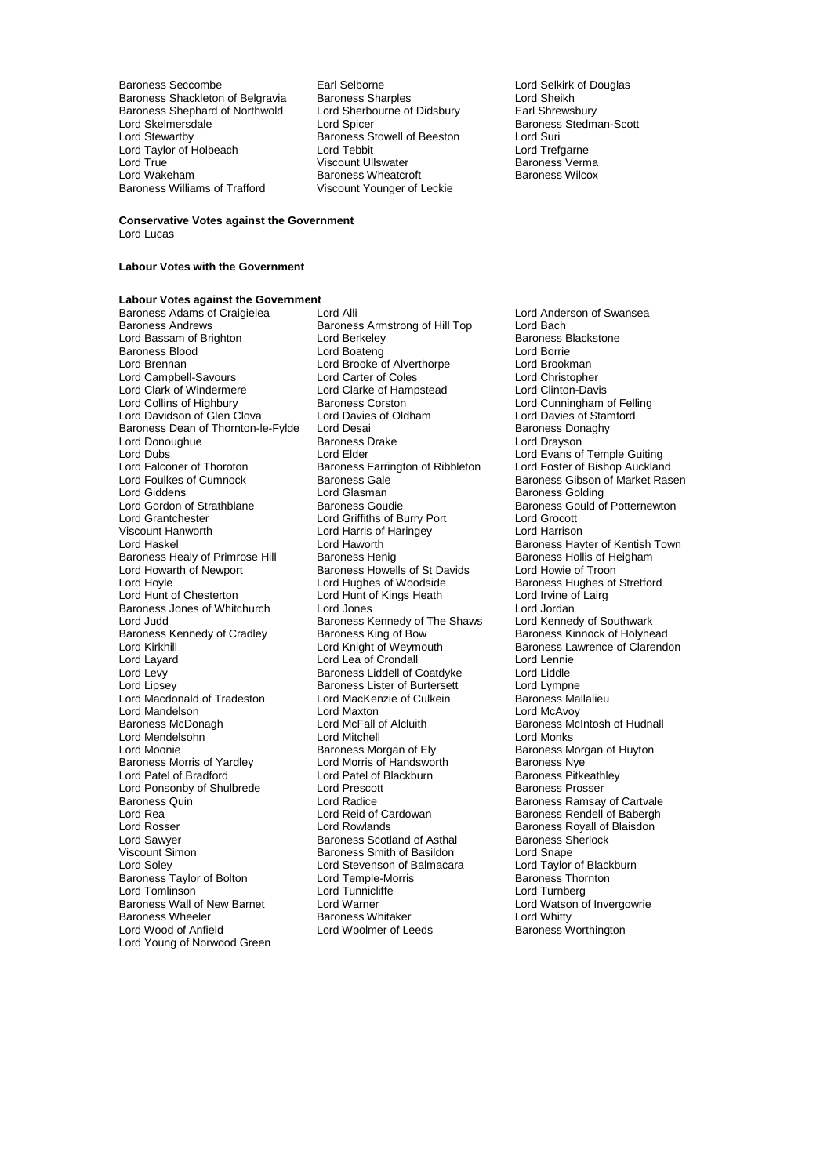Baroness Seccombe Earl Selborne Carl Selborne Lord Selkirk of Douglas<br>
Baroness Shackleton of Belgravia Baroness Sharples Lord Sheikh Baroness Shackleton of Belgravia Baroness Sharples Lord Sheikh<br>Baroness Shephard of Northwold Lord Sherbourne of Didsbury Earl Shrewsbury Baroness Shephard of Northwold Lord Sherbourne Cord Sherbourne Cord Sherbourne Cord Spicer Lord Skelmersdale **Lord Spicer** Lord Spicer **Baroness Stedman-Scott**<br>
Lord Stewartby **Baroness Stowell of Beeston** Lord Suri Lord Taylor of Holbeach Lord Tebbit Lord Trefgarne Lord True Communication of Communication Viscount Ullswater Communication Baroness Verma<br>
Baroness Wheatcroft Baroness Wheatcroft Baroness Wilcox Baroness Williams of Trafford

Exaroness Stowell of Beeston Lord Suri<br>
Lord Tebbit Lord Trefaarne Baroness Wheatcroft<br>Viscount Younger of Leckie

#### **Conservative Votes against the Government** Lord Lucas

### **Labour Votes with the Government**

## **Labour Votes against the Government**

Lord Bassam of Brighton Lord Berkeley **Communist Communist Baroness Baroness Baroness Brightoness Baroness Baroness B**<br>Baroness Blood Baroness Blood **Communist Constanting Lord Boateng** Cord Boateng Lord Boateng Lord Brookman<br>
Lord Brookman<br>
Lord Brookman Lord Campbell-Savours Lord Carter of Coles Lord Christopher<br>
Lord Clark of Windermere Lord Clarke of Hampstead Lord Clinton-Davis Lord Clark of Windermere Lord Clarke of Har<br>
Lord Collins of Highbury Baroness Corston Lord Davidson of Glen Clova Lord Davies of Oldham Lord Davies of Stan<br>Baroness Dean of Thornton-le-Fylde Lord Desai Corporation Baroness Donaghy Baroness Dean of Thornton-le-Fylde Lord Desai Communication Baroness Don<br>
Lord Donoughue Baroness Drake Cord Drayson Lord Donoughue<br>
Lord Dubs<br>
Lord Elder Lord Dubs<br>
Lord Elder Lord Evans of Temple Guiting<br>
Lord Falconer of Thoroton Baroness Farrington of Ribbleton Lord Foster of Bishop Auckland Lord Falconer of Thoroton Baroness Farrington of Ribbleton<br>
Lord Foulkes of Cumnock<br>
Baroness Gale Lord Giddens **Lord Glasman**<br>
Lord Gordon of Strathblane Baroness Goudie Baroness Gould o Lord Gordon of Strathblane **Baroness Goudie Baroness Gould of Potternewton**<br>Lord Grantchester **Baroness Could of Potternewton**<br>Lord Grantchester Lord Grantchester Lord Griffiths of Burry Port Lord Grocott Viscount Hanworth Lord Harris of Haringey<br>
Lord Haskel Lord Haworth Lord Haworth Baroness Healy of Primrose Hill Baroness Henig Baroness Healy of Henry Baroness Hollis of Henry Baroness Howells of St Davids Lord Howie of Troon Lord Hoyle **Lord Hughes of Woodside** Baroness Hughes of Stretford<br>
Lord Hunt of Chesterton **Lord Hunt of Kings Heath** Lord Irvine of Lairg Baroness Jones of Whitchurch Lord Jones<br>
Lord Judd Lord Judd Baroness Kennedy of The Shaws Lord Kennedy of Southwark Lord Judd<br>
Baroness Kennedy of Cradley<br>
Baroness King of Bow<br>
Baroness King of Bow Baroness Kennedy of Cradley Baroness King of Bow Baroness Kinnock of Holyhead<br>
Lord Kright of Weymouth Baroness Lawrence of Clarendo Lord Kirkhill Lord Knight of Weymouth Baroness Lawrence of Clarendon<br>
Lord Lavard Lord Lea of Crondall Lord Lennie Lord Layard Lord Lea of Crondall Lord Lennie Lord Levy **Baroness Liddell of Coatdyke** Lord Liddle<br>
Lord Lipsey **Baroness Lister of Burtersett** Lord Lympne Lord Macdonald of Tradeston Lord MacKenzie of Culkein Baroness Ma<br>Lord Mandelson Lord Maxton Lord MacAyov Lord Mandelson Lord Maxton<br>
Baroness McDonagh Lord McFall of Alcluith Lord Mendelsohn **Lord Mitchell** Lord Mitchell Lord Monks Lord Monks<br>
Lord Moonie **Concess Lord Monks**<br>
Baroness Morgan of Ely Baroness M Lord Moonie<br>
Baroness Morris of Yardley<br>
Lord Morris of Handsworth<br>
Baroness Nye Lord Patel of Bradford **Lord Patel of Blackburn** Baroness Pitkeath<br>
Lord Ponsonby of Shulbrede Lord Prescott **Baroness Prosser** Lord Ponsonby of Shulbrede Lord Prescot<br>Baroness Quin<br>Lord Radice Baroness Quin **Baroness Cuin**<br>
Lord Rea **Baroness Ramsay of Cartvale**<br>
Lord Rea **Baroness Rendell of Babergh**<br>
Lord Rea Lord Reid of Cardowan Lord Rea Lord Reid of Cardowan Baroness Rendell of Babergh<br>Lord Rosser Lord Rowlands Lord Rowlands Baroness Royall of Blaisdon Lord Rosser **Lord Rowlands** Cord Rosser **Baroness Royall of Blaisdon**<br>
Lord Sawver **Baroness Scotland of Asthal** Baroness Sherlock Lord Sawyer **Baroness Scotland of Asthal** Baroness Scotland of Asthal Baroness S<br>
Viscount Simon **Baroness Smith of Basildon** Lord Snape Viscount Simon **Baroness Smith of Basildon** Edit Simon Lord Snape<br>
Lord Soley **Baroness Smith of Balmacara** Lord Taylor of Blackburn Baroness Taylor of Bolton Lord Temple-Morris Lord Temple-Morris Lord Tunnicliffe Lord Tomlinson **Lord Tunnicliffe** Lord Tunnicliffe Lord Turnberg Baroness Wall of New Barnet Lord Warner Lord Watson of Invergowrie Baroness Wheeler **Baroness Whitaker** Lord Whitty<br>
Lord Wood of Anfield **Baroness Lord Woolmer of Leeds** Baroness Worthington Lord Young of Norwood Green

Baroness Adams of Craigielea Lord Alli Lord Anderson of Swansea<br>Baroness Andrews Baroness Armstrong of Hill Top Lord Bach Baroness Armstrong of Hill Top Lord Bach<br>Lord Berkelev Lord Baroness Blackstone Lord Brooke of Alverthorpe Lord Brookman<br>
Lord Carter of Coles
Lord Christopher Baroness Corston **Collins Collins Collins Collins Collins** Lord Cunningham of Felling<br>
Lord Davies of Oldham Lord Davies of Stamford Baroness Howells of St Davids<br>Lord Hughes of Woodside Lord Hunt of Kings Heath Lord Irvine of Lord Jones<br>
Lord Jones Lord Lipsey Baroness Lister of Burtersett Lord Lympne Lord McFall of Alcluith Baroness McIntosh of Hudnall<br>
Lord Mitchell<br>
Lord Monks Lord Morris of Handsworth Baroness Nye<br>
Lord Patel of Blackburn Baroness Pitkeathley Lord Stevenson of Balmacara Lord Taylor of Black<br>
Lord Temple-Morris **Balmacara** Baroness Thornton Lord Woolmer of Leeds

Baroness Gibson of Market Rasen Lord Haworth **Exercise Lord Haworth Baroness Hayter of Kentish Town**<br>
Baroness Henig **Baroness Hollis of Heigham**